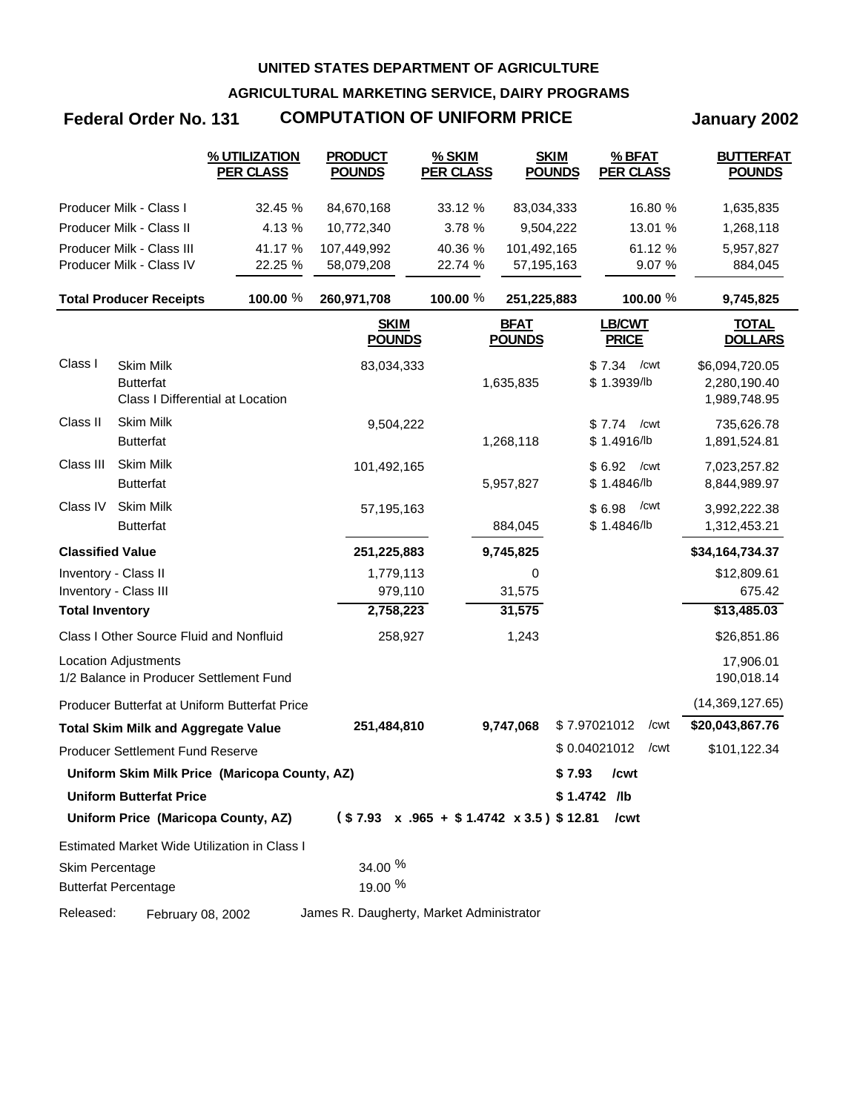**AGRICULTURAL MARKETING SERVICE, DAIRY PROGRAMS**

# **Federal Order No. 131 COMPUTATION OF UNIFORM PRICE January 2002**

|                         |                                                                          | % UTILIZATION<br><b>PER CLASS</b>             | <b>PRODUCT</b><br><b>POUNDS</b>          | % SKIM<br><b>PER CLASS</b>                             |                              | <b>SKIM</b><br><b>POUNDS</b> |                        | % BFAT<br><b>PER CLASS</b> | <b>BUTTERFAT</b><br><b>POUNDS</b>              |
|-------------------------|--------------------------------------------------------------------------|-----------------------------------------------|------------------------------------------|--------------------------------------------------------|------------------------------|------------------------------|------------------------|----------------------------|------------------------------------------------|
|                         | Producer Milk - Class I                                                  | 32.45 %                                       | 84,670,168                               | 33.12 %                                                | 83,034,333                   |                              |                        | 16.80 %                    | 1,635,835                                      |
|                         | Producer Milk - Class II                                                 | 4.13 %                                        | 10,772,340                               | 3.78 %                                                 | 9,504,222                    |                              |                        | 13.01 %                    | 1,268,118                                      |
|                         | Producer Milk - Class III                                                | 41.17 %                                       | 107,449,992                              | 40.36 %                                                | 101,492,165                  |                              |                        | 61.12 %                    | 5,957,827                                      |
|                         | Producer Milk - Class IV                                                 | 22.25 %                                       | 58,079,208                               | 22.74 %                                                | 57,195,163                   |                              |                        | 9.07 %                     | 884,045                                        |
|                         | <b>Total Producer Receipts</b>                                           | 100.00 %                                      | 260,971,708                              | 100.00 %                                               | 251,225,883                  |                              |                        | 100.00 %                   | 9,745,825                                      |
|                         |                                                                          |                                               | <b>SKIM</b><br><b>POUNDS</b>             |                                                        | <b>BFAT</b><br><b>POUNDS</b> |                              | LB/CWT<br><b>PRICE</b> |                            | <b>TOTAL</b><br><b>DOLLARS</b>                 |
| Class I                 | <b>Skim Milk</b><br><b>Butterfat</b><br>Class I Differential at Location |                                               | 83,034,333                               |                                                        | 1,635,835                    |                              | \$7.34<br>\$1.3939/lb  | /cwt                       | \$6,094,720.05<br>2,280,190.40<br>1,989,748.95 |
| Class II                | <b>Skim Milk</b><br><b>Butterfat</b>                                     |                                               | 9,504,222                                |                                                        | 1,268,118                    |                              | \$7.74<br>\$1.4916/lb  | /cwt                       | 735,626.78<br>1,891,524.81                     |
| Class III               | <b>Skim Milk</b><br><b>Butterfat</b>                                     |                                               | 101,492,165                              |                                                        | 5,957,827                    |                              | \$6.92<br>\$1.4846/lb  | /cwt                       | 7,023,257.82<br>8,844,989.97                   |
| Class IV                | <b>Skim Milk</b><br><b>Butterfat</b>                                     |                                               | 57,195,163                               |                                                        | 884,045                      |                              | \$6.98<br>\$1.4846/lb  | /cwt                       | 3,992,222.38<br>1,312,453.21                   |
| <b>Classified Value</b> |                                                                          |                                               | 251,225,883                              |                                                        | 9,745,825                    |                              |                        |                            | \$34,164,734.37                                |
| Inventory - Class II    |                                                                          |                                               | 1,779,113                                |                                                        | 0                            |                              |                        |                            | \$12,809.61                                    |
|                         | Inventory - Class III                                                    |                                               | 979,110                                  |                                                        | 31,575                       |                              |                        |                            | 675.42                                         |
| <b>Total Inventory</b>  |                                                                          |                                               | 2,758,223                                |                                                        | 31,575                       |                              |                        |                            | \$13,485.03                                    |
|                         | Class I Other Source Fluid and Nonfluid                                  |                                               | 258,927                                  |                                                        | 1,243                        |                              |                        |                            | \$26,851.86                                    |
|                         | <b>Location Adjustments</b><br>1/2 Balance in Producer Settlement Fund   |                                               |                                          |                                                        |                              |                              |                        |                            | 17,906.01<br>190,018.14                        |
|                         |                                                                          | Producer Butterfat at Uniform Butterfat Price |                                          |                                                        |                              |                              |                        |                            | (14,369,127.65)                                |
|                         | <b>Total Skim Milk and Aggregate Value</b>                               |                                               | 251,484,810                              |                                                        | 9,747,068                    | \$7.97021012                 |                        | /cwt                       | \$20,043,867.76                                |
|                         | <b>Producer Settlement Fund Reserve</b>                                  |                                               |                                          |                                                        |                              | \$0.04021012                 |                        | /cwt                       | \$101,122.34                                   |
|                         |                                                                          | Uniform Skim Milk Price (Maricopa County, AZ) |                                          |                                                        |                              | $$7.93$ /cwt                 |                        |                            |                                                |
|                         | <b>Uniform Butterfat Price</b>                                           |                                               |                                          |                                                        |                              | $$1.4742$ /lb                |                        |                            |                                                |
|                         | Uniform Price (Maricopa County, AZ)                                      |                                               |                                          | $($7.93 \times .965 + $1.4742 \times 3.5) $12.81$ /cwt |                              |                              |                        |                            |                                                |
|                         |                                                                          | Estimated Market Wide Utilization in Class I  |                                          |                                                        |                              |                              |                        |                            |                                                |
| Skim Percentage         | <b>Butterfat Percentage</b>                                              |                                               | 34.00 %<br>19.00 %                       |                                                        |                              |                              |                        |                            |                                                |
| Released:               | February 08, 2002                                                        |                                               | James R. Daugherty, Market Administrator |                                                        |                              |                              |                        |                            |                                                |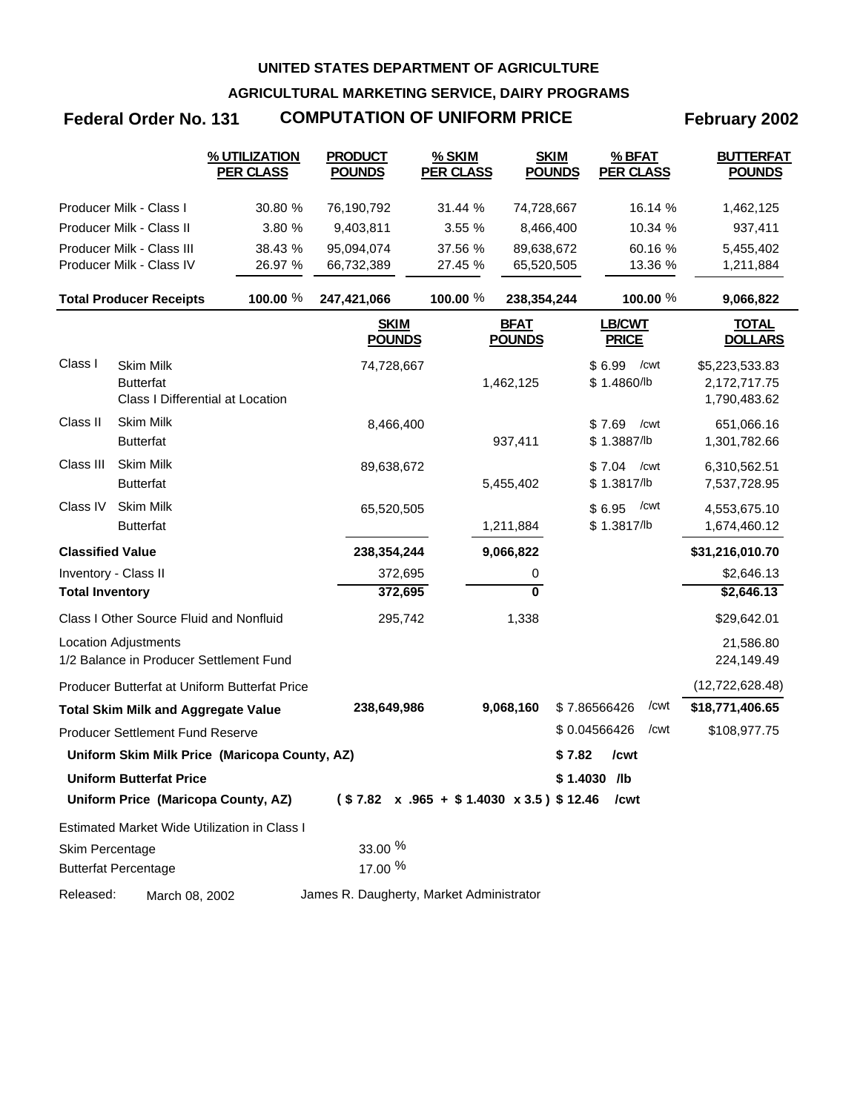**AGRICULTURAL MARKETING SERVICE, DAIRY PROGRAMS**

## Federal Order No. 131 **COMPUTATION OF UNIFORM PRICE** February 2002

|                         |                                                                          | % UTILIZATION<br><u>PER CLASS</u>             | <b>PRODUCT</b><br><b>POUNDS</b>                        | % SKIM<br><b>PER CLASS</b> | <b>SKIM</b><br><b>POUNDS</b> | % BFAT<br><b>PER CLASS</b>    | <b>BUTTERFAT</b><br><b>POUNDS</b>              |
|-------------------------|--------------------------------------------------------------------------|-----------------------------------------------|--------------------------------------------------------|----------------------------|------------------------------|-------------------------------|------------------------------------------------|
|                         | Producer Milk - Class I                                                  | 30.80 %                                       | 76,190,792                                             | 31.44 %                    | 74,728,667                   | 16.14 %                       | 1,462,125                                      |
|                         | Producer Milk - Class II                                                 | 3.80 %                                        | 9,403,811                                              | 3.55 %                     | 8,466,400                    | 10.34 %                       | 937,411                                        |
|                         | Producer Milk - Class III                                                | 38.43 %                                       | 95,094,074                                             | 37.56 %                    | 89,638,672                   | 60.16 %                       | 5,455,402                                      |
|                         | Producer Milk - Class IV                                                 | 26.97 %                                       | 66,732,389                                             | 27.45 %                    | 65,520,505                   | 13.36 %                       | 1,211,884                                      |
|                         | <b>Total Producer Receipts</b>                                           | 100.00 %                                      | 247,421,066                                            | 100.00 %                   | 238,354,244                  | 100.00 %                      | 9,066,822                                      |
|                         |                                                                          |                                               | <b>SKIM</b><br><b>POUNDS</b>                           |                            | <b>BFAT</b><br><b>POUNDS</b> | <b>LB/CWT</b><br><b>PRICE</b> | <u>TOTAL</u><br><b>DOLLARS</b>                 |
| Class I                 | <b>Skim Milk</b><br><b>Butterfat</b><br>Class I Differential at Location |                                               | 74,728,667                                             |                            | 1,462,125                    | \$6.99<br>/cwt<br>\$1.4860/lb | \$5,223,533.83<br>2,172,717.75<br>1,790,483.62 |
| Class II                | <b>Skim Milk</b><br><b>Butterfat</b>                                     |                                               | 8,466,400                                              |                            | 937,411                      | \$7.69<br>/cwt<br>\$1.3887/lb | 651,066.16<br>1,301,782.66                     |
| Class III               | <b>Skim Milk</b><br><b>Butterfat</b>                                     |                                               | 89,638,672                                             |                            | 5,455,402                    | \$7.04<br>/cwt<br>\$1.3817/lb | 6,310,562.51<br>7,537,728.95                   |
| Class IV                | <b>Skim Milk</b><br><b>Butterfat</b>                                     |                                               | 65,520,505                                             |                            | 1,211,884                    | /cwt<br>\$6.95<br>\$1.3817/lb | 4,553,675.10<br>1,674,460.12                   |
| <b>Classified Value</b> |                                                                          |                                               | 238,354,244                                            |                            | 9,066,822                    |                               | \$31,216,010.70                                |
| Inventory - Class II    |                                                                          |                                               | 372,695                                                |                            | 0                            |                               | \$2,646.13                                     |
| <b>Total Inventory</b>  |                                                                          |                                               | 372,695                                                |                            | $\overline{\mathbf{0}}$      |                               | \$2,646.13                                     |
|                         | Class I Other Source Fluid and Nonfluid                                  |                                               | 295,742                                                |                            | 1,338                        |                               | \$29,642.01                                    |
|                         | <b>Location Adjustments</b><br>1/2 Balance in Producer Settlement Fund   |                                               |                                                        |                            |                              |                               | 21,586.80<br>224,149.49                        |
|                         |                                                                          | Producer Butterfat at Uniform Butterfat Price |                                                        |                            |                              |                               | (12, 722, 628.48)                              |
|                         | <b>Total Skim Milk and Aggregate Value</b>                               |                                               | 238,649,986                                            |                            | 9,068,160                    | /cwt<br>\$7.86566426          | \$18,771,406.65                                |
|                         | <b>Producer Settlement Fund Reserve</b>                                  |                                               |                                                        |                            |                              | \$0.04566426<br>/cwt          | \$108,977.75                                   |
|                         |                                                                          | Uniform Skim Milk Price (Maricopa County, AZ) |                                                        |                            |                              | \$7.82<br>/cwt                |                                                |
|                         | <b>Uniform Butterfat Price</b>                                           |                                               |                                                        |                            |                              | $$1.4030$ /lb                 |                                                |
|                         | Uniform Price (Maricopa County, AZ)                                      |                                               | $($7.82 \times .965 + $1.4030 \times 3.5) $12.46$ /cwt |                            |                              |                               |                                                |
|                         |                                                                          | Estimated Market Wide Utilization in Class I  |                                                        |                            |                              |                               |                                                |
| Skim Percentage         | <b>Butterfat Percentage</b>                                              |                                               | 33.00 %<br>17.00 %                                     |                            |                              |                               |                                                |
| Released:               | March 08, 2002                                                           |                                               | James R. Daugherty, Market Administrator               |                            |                              |                               |                                                |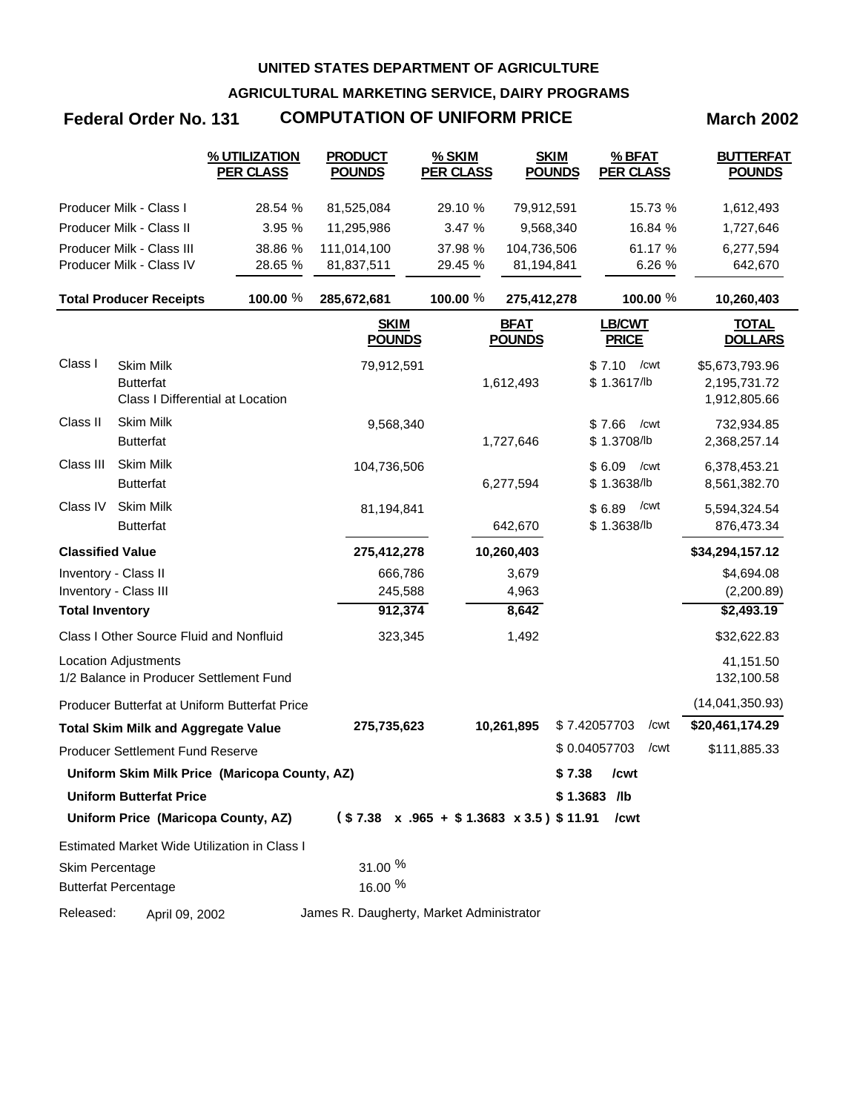**AGRICULTURAL MARKETING SERVICE, DAIRY PROGRAMS**

## **Federal Order No. 131 COMPUTATION OF UNIFORM PRICE March 2002**

|                         |                                                                          | % UTILIZATION<br><b>PER CLASS</b>             | <b>PRODUCT</b><br><b>POUNDS</b>          | % SKIM<br><b>PER CLASS</b>                             | <b>SKIM</b><br><b>POUNDS</b> | % BFAT<br><b>PER CLASS</b>    | <b>BUTTERFAT</b><br><b>POUNDS</b>              |
|-------------------------|--------------------------------------------------------------------------|-----------------------------------------------|------------------------------------------|--------------------------------------------------------|------------------------------|-------------------------------|------------------------------------------------|
|                         | Producer Milk - Class I                                                  | 28.54 %                                       | 81,525,084                               | 29.10 %                                                | 79,912,591                   | 15.73 %                       | 1,612,493                                      |
|                         | Producer Milk - Class II                                                 | 3.95 %                                        | 11,295,986                               | 3.47 %                                                 | 9,568,340                    | 16.84 %                       | 1,727,646                                      |
|                         | Producer Milk - Class III                                                | 38.86 %                                       | 111,014,100                              | 37.98 %                                                | 104,736,506                  | 61.17 %                       | 6,277,594                                      |
|                         | Producer Milk - Class IV                                                 | 28.65 %                                       | 81,837,511                               | 29.45 %                                                | 81,194,841                   | 6.26 %                        | 642,670                                        |
|                         | <b>Total Producer Receipts</b>                                           | 100.00 %                                      | 285,672,681                              | 100.00 %                                               | 275,412,278                  | 100.00 %                      | 10,260,403                                     |
|                         |                                                                          |                                               | <b>SKIM</b><br><b>POUNDS</b>             |                                                        | <b>BFAT</b><br><b>POUNDS</b> | LB/CWT<br><b>PRICE</b>        | <b>TOTAL</b><br><b>DOLLARS</b>                 |
| Class I                 | <b>Skim Milk</b><br><b>Butterfat</b><br>Class I Differential at Location |                                               | 79,912,591                               |                                                        | 1,612,493                    | \$7.10<br>/cwt<br>\$1.3617/lb | \$5,673,793.96<br>2,195,731.72<br>1,912,805.66 |
| Class II                | Skim Milk<br><b>Butterfat</b>                                            |                                               | 9,568,340                                |                                                        | 1,727,646                    | \$7.66<br>/cwt<br>\$1.3708/lb | 732,934.85<br>2,368,257.14                     |
| Class III               | Skim Milk<br><b>Butterfat</b>                                            |                                               | 104,736,506                              |                                                        | 6,277,594                    | \$6.09<br>/cwt<br>\$1.3638/lb | 6,378,453.21<br>8,561,382.70                   |
| Class IV                | Skim Milk<br><b>Butterfat</b>                                            |                                               | 81,194,841                               |                                                        | 642,670                      | /cwt<br>\$6.89<br>\$1.3638/lb | 5,594,324.54<br>876,473.34                     |
| <b>Classified Value</b> |                                                                          |                                               | 275,412,278                              |                                                        | 10,260,403                   |                               | \$34,294,157.12                                |
| Inventory - Class II    |                                                                          |                                               | 666,786                                  |                                                        | 3,679                        |                               | \$4,694.08                                     |
|                         | Inventory - Class III                                                    |                                               | 245,588                                  |                                                        | 4,963                        |                               | (2,200.89)                                     |
| <b>Total Inventory</b>  |                                                                          |                                               | 912,374                                  |                                                        | 8,642                        |                               | \$2,493.19                                     |
|                         | Class I Other Source Fluid and Nonfluid                                  |                                               | 323,345                                  |                                                        | 1,492                        |                               | \$32,622.83                                    |
|                         | <b>Location Adjustments</b><br>1/2 Balance in Producer Settlement Fund   |                                               |                                          |                                                        |                              |                               | 41,151.50<br>132,100.58                        |
|                         |                                                                          | Producer Butterfat at Uniform Butterfat Price |                                          |                                                        |                              |                               | (14,041,350.93)                                |
|                         | <b>Total Skim Milk and Aggregate Value</b>                               |                                               | 275,735,623                              |                                                        | 10,261,895                   | \$7.42057703<br>/cwt          | \$20,461,174.29                                |
|                         | <b>Producer Settlement Fund Reserve</b>                                  |                                               |                                          |                                                        |                              | \$0.04057703<br>/cwt          | \$111,885.33                                   |
|                         |                                                                          | Uniform Skim Milk Price (Maricopa County, AZ) |                                          |                                                        |                              | \$7.38<br>/cwt                |                                                |
|                         | <b>Uniform Butterfat Price</b>                                           |                                               |                                          |                                                        |                              | $$1.3683$ /lb                 |                                                |
|                         | Uniform Price (Maricopa County, AZ)                                      |                                               |                                          | $($7.38 \times .965 + $1.3683 \times 3.5) $11.91$ /cwt |                              |                               |                                                |
|                         |                                                                          | Estimated Market Wide Utilization in Class I  |                                          |                                                        |                              |                               |                                                |
| Skim Percentage         |                                                                          |                                               | 31.00 %                                  |                                                        |                              |                               |                                                |
|                         | <b>Butterfat Percentage</b>                                              |                                               | 16.00 %                                  |                                                        |                              |                               |                                                |
| Released:               | April 09, 2002                                                           |                                               | James R. Daugherty, Market Administrator |                                                        |                              |                               |                                                |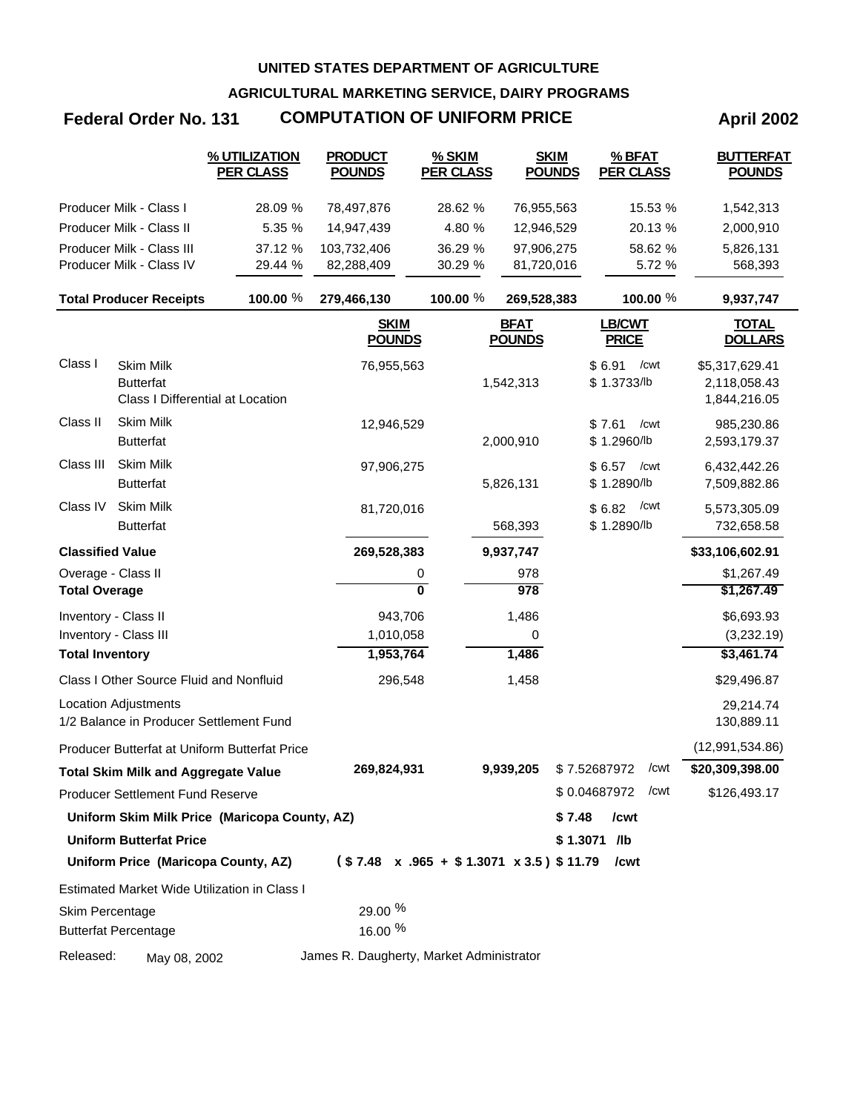**AGRICULTURAL MARKETING SERVICE, DAIRY PROGRAMS**

## **Federal Order No. 131 COMPUTATION OF UNIFORM PRICE April 2002**

|                         |                                                                        | % UTILIZATION<br><b>PER CLASS</b>             | <b>PRODUCT</b><br><b>POUNDS</b>                        | % SKIM<br><b>PER CLASS</b> | <b>SKIM</b><br><b>POUNDS</b> | % BFAT<br><b>PER CLASS</b>    | <b>BUTTERFAT</b><br><b>POUNDS</b> |
|-------------------------|------------------------------------------------------------------------|-----------------------------------------------|--------------------------------------------------------|----------------------------|------------------------------|-------------------------------|-----------------------------------|
|                         | Producer Milk - Class I                                                | 28.09 %                                       | 78,497,876                                             | 28.62 %                    | 76,955,563                   | 15.53 %                       | 1,542,313                         |
|                         | Producer Milk - Class II                                               | 5.35 %                                        | 14,947,439                                             | 4.80 %                     | 12,946,529                   | 20.13 %                       | 2,000,910                         |
|                         | Producer Milk - Class III                                              | 37.12 %                                       | 103,732,406                                            | 36.29 %                    | 97,906,275                   | 58.62 %                       | 5,826,131                         |
|                         | Producer Milk - Class IV                                               | 29.44 %                                       | 82,288,409                                             | 30.29 %                    | 81,720,016                   | 5.72 %                        | 568,393                           |
|                         | <b>Total Producer Receipts</b>                                         | 100.00 %                                      | 279,466,130                                            | 100.00 %                   | 269,528,383                  | 100.00 %                      | 9,937,747                         |
|                         |                                                                        |                                               | <b>SKIM</b><br><b>POUNDS</b>                           |                            | <b>BFAT</b><br><b>POUNDS</b> | <b>LB/CWT</b><br><b>PRICE</b> | <b>TOTAL</b><br><b>DOLLARS</b>    |
| Class I                 | <b>Skim Milk</b><br><b>Butterfat</b>                                   |                                               | 76,955,563                                             |                            | 1,542,313                    | \$6.91<br>/cwt<br>\$1.3733/lb | \$5,317,629.41<br>2,118,058.43    |
|                         | Class I Differential at Location                                       |                                               |                                                        |                            |                              |                               | 1,844,216.05                      |
| Class II                | Skim Milk<br><b>Butterfat</b>                                          |                                               | 12,946,529                                             |                            | 2,000,910                    | \$7.61<br>/cwt<br>\$1.2960/lb | 985,230.86<br>2,593,179.37        |
| Class III               | <b>Skim Milk</b><br><b>Butterfat</b>                                   |                                               | 97,906,275                                             |                            | 5,826,131                    | \$6.57<br>/cwt<br>\$1.2890/lb | 6,432,442.26<br>7,509,882.86      |
| Class IV                | <b>Skim Milk</b><br><b>Butterfat</b>                                   |                                               | 81,720,016                                             |                            | 568,393                      | /cwt<br>\$6.82<br>\$1.2890/lb | 5,573,305.09<br>732,658.58        |
| <b>Classified Value</b> |                                                                        |                                               | 269,528,383                                            |                            | 9,937,747                    |                               | \$33,106,602.91                   |
| Overage - Class II      |                                                                        |                                               | 0                                                      |                            | 978                          |                               | \$1,267.49                        |
| <b>Total Overage</b>    |                                                                        |                                               | $\overline{\mathbf{0}}$                                |                            | 978                          |                               | \$1,267.49                        |
| Inventory - Class II    |                                                                        |                                               | 943,706                                                |                            | 1,486                        |                               | \$6,693.93                        |
| Inventory - Class III   |                                                                        |                                               | 1,010,058                                              |                            | 0                            |                               | (3,232.19)                        |
| <b>Total Inventory</b>  |                                                                        |                                               | 1,953,764                                              |                            | 1,486                        |                               | \$3,461.74                        |
|                         | Class I Other Source Fluid and Nonfluid                                |                                               | 296,548                                                |                            | 1,458                        |                               | \$29,496.87                       |
|                         | <b>Location Adjustments</b><br>1/2 Balance in Producer Settlement Fund |                                               |                                                        |                            |                              |                               | 29,214.74<br>130,889.11           |
|                         |                                                                        | Producer Butterfat at Uniform Butterfat Price |                                                        |                            |                              |                               | (12, 991, 534.86)                 |
|                         | Total Skim Milk and Aggregate Value                                    |                                               | 269,824,931                                            |                            | 9,939,205                    | \$7.52687972<br>/cwt          | \$20,309,398.00                   |
|                         | <b>Producer Settlement Fund Reserve</b>                                |                                               |                                                        |                            |                              | \$0.04687972 / cwt            | \$126,493.17                      |
|                         |                                                                        | Uniform Skim Milk Price (Maricopa County, AZ) |                                                        |                            |                              | \$7.48<br>/cwt                |                                   |
|                         | <b>Uniform Butterfat Price</b>                                         |                                               |                                                        |                            |                              | $$1.3071$ /lb                 |                                   |
|                         |                                                                        | Uniform Price (Maricopa County, AZ)           | $($7.48 \times .965 + $1.3071 \times 3.5) $11.79$ /cwt |                            |                              |                               |                                   |
|                         |                                                                        | Estimated Market Wide Utilization in Class I  |                                                        |                            |                              |                               |                                   |
| Skim Percentage         | <b>Butterfat Percentage</b>                                            |                                               | 29.00 %<br>16.00 %                                     |                            |                              |                               |                                   |
| Released:               | May 08, 2002                                                           |                                               | James R. Daugherty, Market Administrator               |                            |                              |                               |                                   |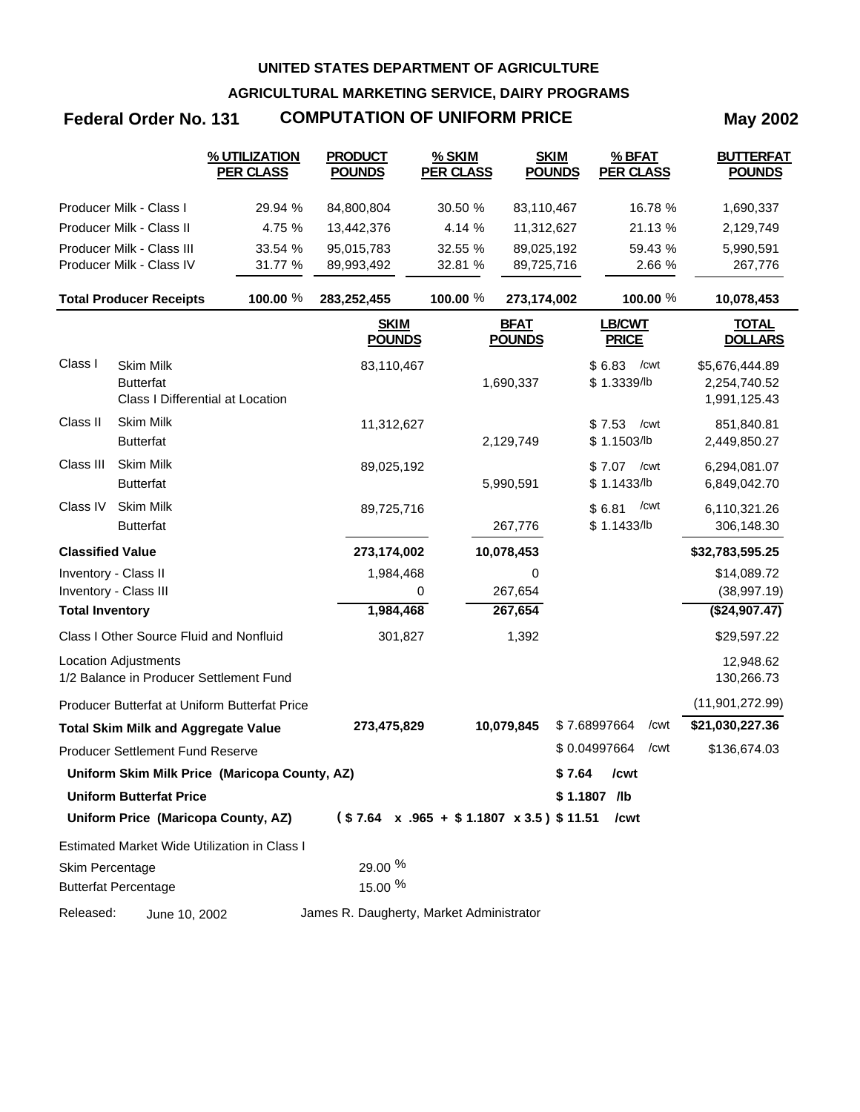**AGRICULTURAL MARKETING SERVICE, DAIRY PROGRAMS**

# **Federal Order No. 131 COMPUTATION OF UNIFORM PRICE May 2002**

|                         |                                                                          | % UTILIZATION<br><b>PER CLASS</b>             | <b>PRODUCT</b><br><b>POUNDS</b>          | % SKIM<br><b>PER CLASS</b> | <b>SKIM</b><br><b>POUNDS</b>                             | % BFAT<br><b>PER CLASS</b>    | <b>BUTTERFAT</b><br><b>POUNDS</b>              |
|-------------------------|--------------------------------------------------------------------------|-----------------------------------------------|------------------------------------------|----------------------------|----------------------------------------------------------|-------------------------------|------------------------------------------------|
|                         | Producer Milk - Class I                                                  | 29.94 %                                       | 84,800,804                               | 30.50 %                    | 83,110,467                                               | 16.78 %                       | 1,690,337                                      |
|                         | Producer Milk - Class II                                                 | 4.75 %                                        | 13,442,376                               | 4.14 %                     | 11,312,627                                               | 21.13 %                       | 2,129,749                                      |
|                         | Producer Milk - Class III                                                | 33.54 %                                       | 95,015,783                               | 32.55 %                    | 89,025,192                                               | 59.43 %                       | 5,990,591                                      |
|                         | Producer Milk - Class IV                                                 | 31.77 %                                       | 89,993,492                               | 32.81 %                    | 89,725,716                                               | 2.66 %                        | 267,776                                        |
|                         | <b>Total Producer Receipts</b>                                           | 100.00 %                                      | 283,252,455                              | 100.00 %                   | 273,174,002                                              | 100.00 %                      | 10,078,453                                     |
|                         |                                                                          |                                               | <b>SKIM</b><br><b>POUNDS</b>             |                            | <b>BFAT</b><br><b>POUNDS</b>                             | <b>LB/CWT</b><br><b>PRICE</b> | <u>TOTAL</u><br><b>DOLLARS</b>                 |
| Class I                 | <b>Skim Milk</b><br><b>Butterfat</b><br>Class I Differential at Location |                                               | 83,110,467                               |                            | 1,690,337                                                | \$6.83<br>/cwt<br>\$1.3339/lb | \$5,676,444.89<br>2,254,740.52<br>1,991,125.43 |
| Class II                | <b>Skim Milk</b><br><b>Butterfat</b>                                     |                                               | 11,312,627                               |                            | 2,129,749                                                | \$7.53<br>/cwt<br>\$1.1503/lb | 851,840.81<br>2,449,850.27                     |
| Class III               | Skim Milk<br><b>Butterfat</b>                                            |                                               | 89,025,192                               |                            | 5,990,591                                                | \$7.07<br>/cwt<br>\$1.1433/b  | 6,294,081.07<br>6,849,042.70                   |
| Class IV                | <b>Skim Milk</b><br><b>Butterfat</b>                                     |                                               | 89,725,716                               |                            | 267,776                                                  | /cwt<br>\$6.81<br>\$1.1433/b  | 6,110,321.26<br>306,148.30                     |
| <b>Classified Value</b> |                                                                          |                                               | 273,174,002                              |                            | 10,078,453                                               |                               | \$32,783,595.25                                |
|                         | Inventory - Class II                                                     |                                               | 1,984,468                                |                            | 0                                                        |                               | \$14,089.72                                    |
|                         | Inventory - Class III                                                    |                                               |                                          | 0                          | 267,654                                                  |                               | (38, 997.19)                                   |
| <b>Total Inventory</b>  |                                                                          |                                               | 1,984,468                                |                            | 267,654                                                  |                               | ( \$24, 907.47)                                |
|                         | Class I Other Source Fluid and Nonfluid                                  |                                               | 301,827                                  |                            | 1,392                                                    |                               | \$29,597.22                                    |
|                         | <b>Location Adjustments</b><br>1/2 Balance in Producer Settlement Fund   |                                               |                                          |                            |                                                          |                               | 12,948.62<br>130,266.73                        |
|                         |                                                                          | Producer Butterfat at Uniform Butterfat Price |                                          |                            |                                                          |                               | (11,901,272.99)                                |
|                         | <b>Total Skim Milk and Aggregate Value</b>                               |                                               | 273,475,829                              |                            | 10,079,845                                               | \$7.68997664<br>/cwt          | \$21,030,227.36                                |
|                         | <b>Producer Settlement Fund Reserve</b>                                  |                                               |                                          |                            |                                                          | \$0.04997664<br>/cwt          | \$136,674.03                                   |
|                         |                                                                          | Uniform Skim Milk Price (Maricopa County, AZ) |                                          |                            | \$ 7.64                                                  | /cwt                          |                                                |
|                         | <b>Uniform Butterfat Price</b>                                           |                                               |                                          |                            |                                                          | $$1.1807$ /lb                 |                                                |
|                         | Uniform Price (Maricopa County, AZ)                                      |                                               |                                          |                            | $($7.64 \times .965 + $1.1807 \times 3.5)$$ \$11.51 /cwt |                               |                                                |
|                         |                                                                          | Estimated Market Wide Utilization in Class I  |                                          |                            |                                                          |                               |                                                |
| Skim Percentage         | <b>Butterfat Percentage</b>                                              |                                               | 29.00 %<br>15.00 %                       |                            |                                                          |                               |                                                |
| Released:               | June 10, 2002                                                            |                                               | James R. Daugherty, Market Administrator |                            |                                                          |                               |                                                |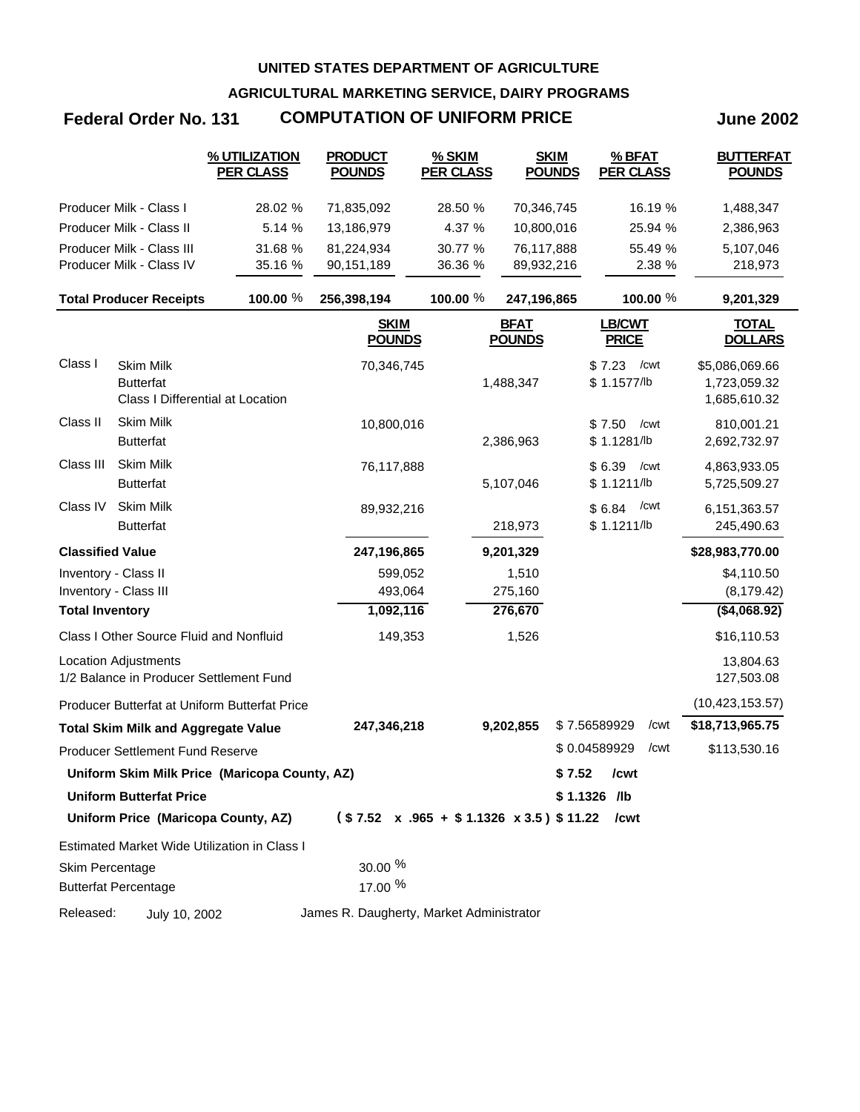**AGRICULTURAL MARKETING SERVICE, DAIRY PROGRAMS**

## **Federal Order No. 131 COMPUTATION OF UNIFORM PRICE June 2002**

|                         |                                                                          | % UTILIZATION<br><b>PER CLASS</b>             | <b>PRODUCT</b><br><b>POUNDS</b>          | % SKIM<br><b>PER CLASS</b>                             | <b>SKIM</b><br><b>POUNDS</b> |              | % BFAT<br><b>PER CLASS</b>    | <b>BUTTERFAT</b><br><b>POUNDS</b>              |
|-------------------------|--------------------------------------------------------------------------|-----------------------------------------------|------------------------------------------|--------------------------------------------------------|------------------------------|--------------|-------------------------------|------------------------------------------------|
|                         | Producer Milk - Class I                                                  | 28.02 %                                       | 71,835,092                               | 28.50 %                                                | 70,346,745                   |              | 16.19 %                       | 1,488,347                                      |
|                         | Producer Milk - Class II                                                 | 5.14 %                                        | 13,186,979                               | 4.37 %                                                 | 10,800,016                   |              | 25.94 %                       | 2,386,963                                      |
|                         | Producer Milk - Class III                                                | 31.68 %                                       | 81,224,934                               | 30.77 %                                                | 76,117,888                   |              | 55.49 %                       | 5,107,046                                      |
|                         | Producer Milk - Class IV                                                 | 35.16 %                                       | 90,151,189                               | 36.36 %                                                | 89,932,216                   |              | 2.38 %                        | 218,973                                        |
|                         | <b>Total Producer Receipts</b>                                           | 100.00 %                                      | 256,398,194                              | 100.00 %                                               | 247,196,865                  |              | 100.00 %                      | 9,201,329                                      |
|                         |                                                                          |                                               | <b>SKIM</b><br><b>POUNDS</b>             |                                                        | <b>BFAT</b><br><b>POUNDS</b> |              | <b>LB/CWT</b><br><b>PRICE</b> | <b>TOTAL</b><br><b>DOLLARS</b>                 |
| Class I                 | <b>Skim Milk</b><br><b>Butterfat</b><br>Class I Differential at Location |                                               | 70,346,745                               |                                                        | 1,488,347                    | \$7.23       | /cwt<br>\$1.1577/lb           | \$5,086,069.66<br>1,723,059.32<br>1,685,610.32 |
| Class II                | <b>Skim Milk</b><br><b>Butterfat</b>                                     |                                               | 10,800,016                               |                                                        | 2,386,963                    | \$7.50       | /cwt<br>\$1.1281/lb           | 810,001.21<br>2,692,732.97                     |
| Class III               | <b>Skim Milk</b><br><b>Butterfat</b>                                     |                                               | 76,117,888                               |                                                        | 5,107,046                    | \$6.39       | /cwt<br>\$1.1211/b            | 4,863,933.05<br>5,725,509.27                   |
| Class IV                | <b>Skim Milk</b><br><b>Butterfat</b>                                     |                                               | 89,932,216                               |                                                        | 218,973                      | \$6.84       | /cwt<br>\$1.1211/b            | 6, 151, 363. 57<br>245,490.63                  |
| <b>Classified Value</b> |                                                                          |                                               | 247,196,865                              |                                                        | 9,201,329                    |              |                               | \$28,983,770.00                                |
| Inventory - Class II    |                                                                          |                                               | 599,052                                  |                                                        | 1,510                        |              |                               | \$4,110.50                                     |
|                         | Inventory - Class III                                                    |                                               | 493,064                                  |                                                        | 275,160                      |              |                               | (8, 179.42)                                    |
| <b>Total Inventory</b>  |                                                                          |                                               | 1,092,116                                |                                                        | 276,670                      |              |                               | ( \$4,068.92)                                  |
|                         | Class I Other Source Fluid and Nonfluid                                  |                                               | 149,353                                  |                                                        | 1,526                        |              |                               | \$16,110.53                                    |
|                         | <b>Location Adjustments</b><br>1/2 Balance in Producer Settlement Fund   |                                               |                                          |                                                        |                              |              |                               | 13,804.63<br>127,503.08                        |
|                         |                                                                          | Producer Butterfat at Uniform Butterfat Price |                                          |                                                        |                              |              |                               | (10, 423, 153.57)                              |
|                         | <b>Total Skim Milk and Aggregate Value</b>                               |                                               | 247,346,218                              |                                                        | 9,202,855                    | \$7.56589929 | /cwt                          | \$18,713,965.75                                |
|                         | <b>Producer Settlement Fund Reserve</b>                                  |                                               |                                          |                                                        |                              | \$0.04589929 | /cwt                          | \$113,530.16                                   |
|                         |                                                                          | Uniform Skim Milk Price (Maricopa County, AZ) |                                          |                                                        |                              | \$7.52       | /cwt                          |                                                |
|                         | <b>Uniform Butterfat Price</b>                                           |                                               |                                          |                                                        |                              | \$1.1326 /lb |                               |                                                |
|                         | Uniform Price (Maricopa County, AZ)                                      |                                               |                                          | $($7.52 \times .965 + $1.1326 \times 3.5) $11.22$ /cwt |                              |              |                               |                                                |
|                         |                                                                          | Estimated Market Wide Utilization in Class I  |                                          |                                                        |                              |              |                               |                                                |
| Skim Percentage         | <b>Butterfat Percentage</b>                                              |                                               | $30.00\%$<br>17.00 %                     |                                                        |                              |              |                               |                                                |
| Released:               | July 10, 2002                                                            |                                               | James R. Daugherty, Market Administrator |                                                        |                              |              |                               |                                                |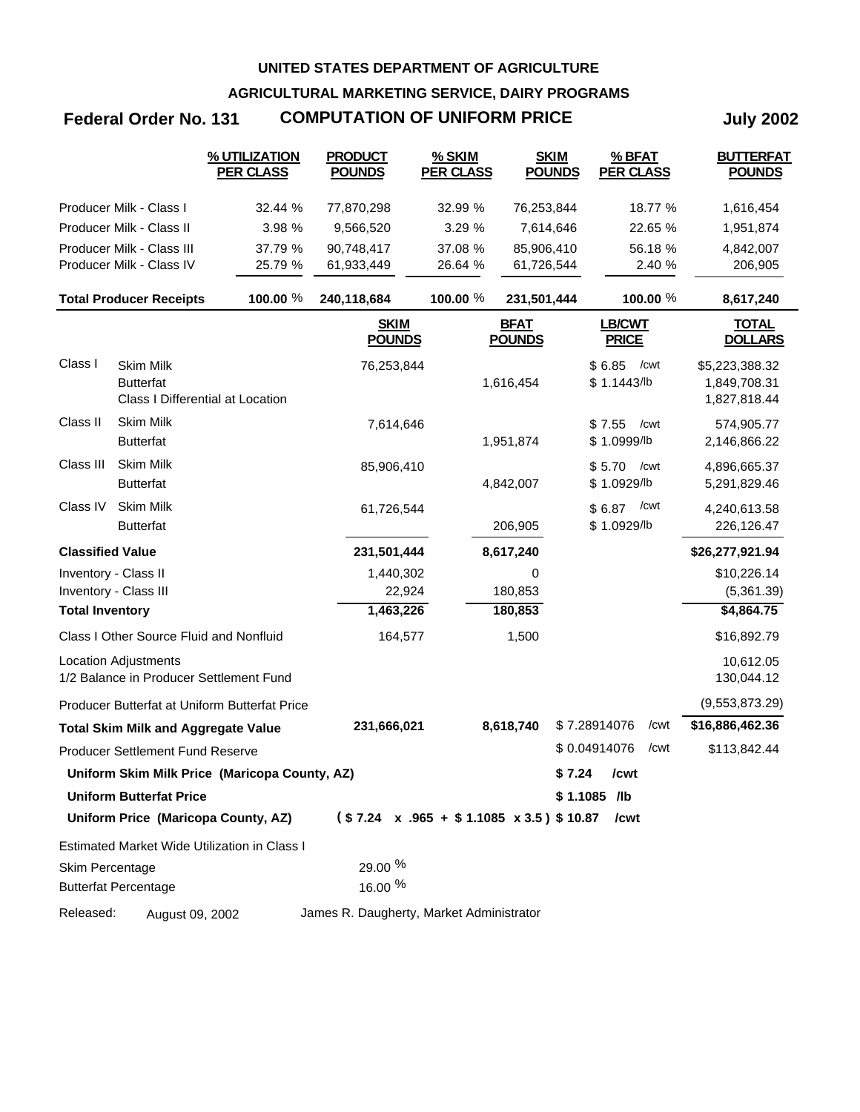**AGRICULTURAL MARKETING SERVICE, DAIRY PROGRAMS**

## **Federal Order No. 131 COMPUTATION OF UNIFORM PRICE July 2002**

|                         |                                                                          | % UTILIZATION<br><b>PER CLASS</b>             | <b>PRODUCT</b><br><b>POUNDS</b>          | % SKIM<br><b>PER CLASS</b> | <b>SKIM</b><br><b>POUNDS</b>                            | % BFAT<br><b>PER CLASS</b>    | <b>BUTTERFAT</b><br><b>POUNDS</b>              |
|-------------------------|--------------------------------------------------------------------------|-----------------------------------------------|------------------------------------------|----------------------------|---------------------------------------------------------|-------------------------------|------------------------------------------------|
|                         | Producer Milk - Class I                                                  | 32.44 %                                       | 77,870,298                               | 32.99 %                    | 76,253,844                                              | 18.77 %                       | 1,616,454                                      |
|                         | Producer Milk - Class II                                                 | 3.98 %                                        | 9,566,520                                | 3.29 %                     | 7,614,646                                               | 22.65 %                       | 1,951,874                                      |
|                         | Producer Milk - Class III                                                | 37.79 %                                       | 90,748,417                               | 37.08 %                    | 85,906,410                                              | 56.18 %                       | 4,842,007                                      |
|                         | Producer Milk - Class IV                                                 | 25.79 %                                       | 61,933,449                               | 26.64 %                    | 61,726,544                                              | 2.40 %                        | 206,905                                        |
|                         | <b>Total Producer Receipts</b>                                           | 100.00 %                                      | 240,118,684                              | 100.00 %                   | 231,501,444                                             | 100.00 %                      | 8,617,240                                      |
|                         |                                                                          |                                               | <b>SKIM</b><br><b>POUNDS</b>             |                            | <b>BFAT</b><br><b>POUNDS</b>                            | <b>LB/CWT</b><br><b>PRICE</b> | <b>TOTAL</b><br><b>DOLLARS</b>                 |
| Class I                 | Skim Milk<br><b>Butterfat</b><br><b>Class I Differential at Location</b> |                                               | 76,253,844                               |                            | 1,616,454                                               | \$6.85<br>/cwt<br>\$1.1443/b  | \$5,223,388.32<br>1,849,708.31<br>1,827,818.44 |
| Class II                | Skim Milk<br><b>Butterfat</b>                                            |                                               | 7,614,646                                |                            | 1,951,874                                               | \$7.55<br>/cwt<br>\$1.0999/lb | 574,905.77<br>2,146,866.22                     |
| Class III               | Skim Milk<br><b>Butterfat</b>                                            |                                               | 85,906,410                               |                            | 4,842,007                                               | \$5.70<br>/cwt<br>\$1.0929/lb | 4,896,665.37<br>5,291,829.46                   |
| Class IV                | Skim Milk<br><b>Butterfat</b>                                            |                                               | 61,726,544                               |                            | 206,905                                                 | /cwt<br>\$6.87<br>\$1.0929/lb | 4,240,613.58<br>226,126.47                     |
| <b>Classified Value</b> |                                                                          |                                               | 231,501,444                              |                            | 8,617,240                                               |                               | \$26,277,921.94                                |
| Inventory - Class II    |                                                                          |                                               | 1,440,302                                |                            | 0                                                       |                               | \$10,226.14                                    |
|                         | Inventory - Class III                                                    |                                               | 22,924                                   |                            | 180,853                                                 |                               | (5,361.39)                                     |
| <b>Total Inventory</b>  |                                                                          |                                               | 1,463,226                                |                            | 180,853                                                 |                               | \$4,864.75                                     |
|                         | Class I Other Source Fluid and Nonfluid                                  |                                               | 164,577                                  |                            | 1,500                                                   |                               | \$16,892.79                                    |
|                         | Location Adjustments<br>1/2 Balance in Producer Settlement Fund          |                                               |                                          |                            |                                                         |                               | 10,612.05<br>130,044.12                        |
|                         |                                                                          | Producer Butterfat at Uniform Butterfat Price |                                          |                            |                                                         |                               | (9,553,873.29)                                 |
|                         | <b>Total Skim Milk and Aggregate Value</b>                               |                                               | 231,666,021                              |                            | 8,618,740                                               | \$7.28914076<br>/cwt          | \$16,886,462.36                                |
|                         | <b>Producer Settlement Fund Reserve</b>                                  |                                               |                                          |                            |                                                         | \$0.04914076<br>/cwt          | \$113,842.44                                   |
|                         |                                                                          | Uniform Skim Milk Price (Maricopa County, AZ) |                                          |                            | \$7.24                                                  | /cwt                          |                                                |
|                         | <b>Uniform Butterfat Price</b>                                           |                                               |                                          |                            |                                                         | $$1.1085$ /lb                 |                                                |
|                         |                                                                          | Uniform Price (Maricopa County, AZ)           |                                          |                            | $($7.24 \times .965 + $1.1085 \times 3.5)$ $10.87$ /cwt |                               |                                                |
|                         |                                                                          | Estimated Market Wide Utilization in Class I  |                                          |                            |                                                         |                               |                                                |
| Skim Percentage         | <b>Butterfat Percentage</b>                                              |                                               | 29.00 %<br>16.00 %                       |                            |                                                         |                               |                                                |
| Released:               | August 09, 2002                                                          |                                               | James R. Daugherty, Market Administrator |                            |                                                         |                               |                                                |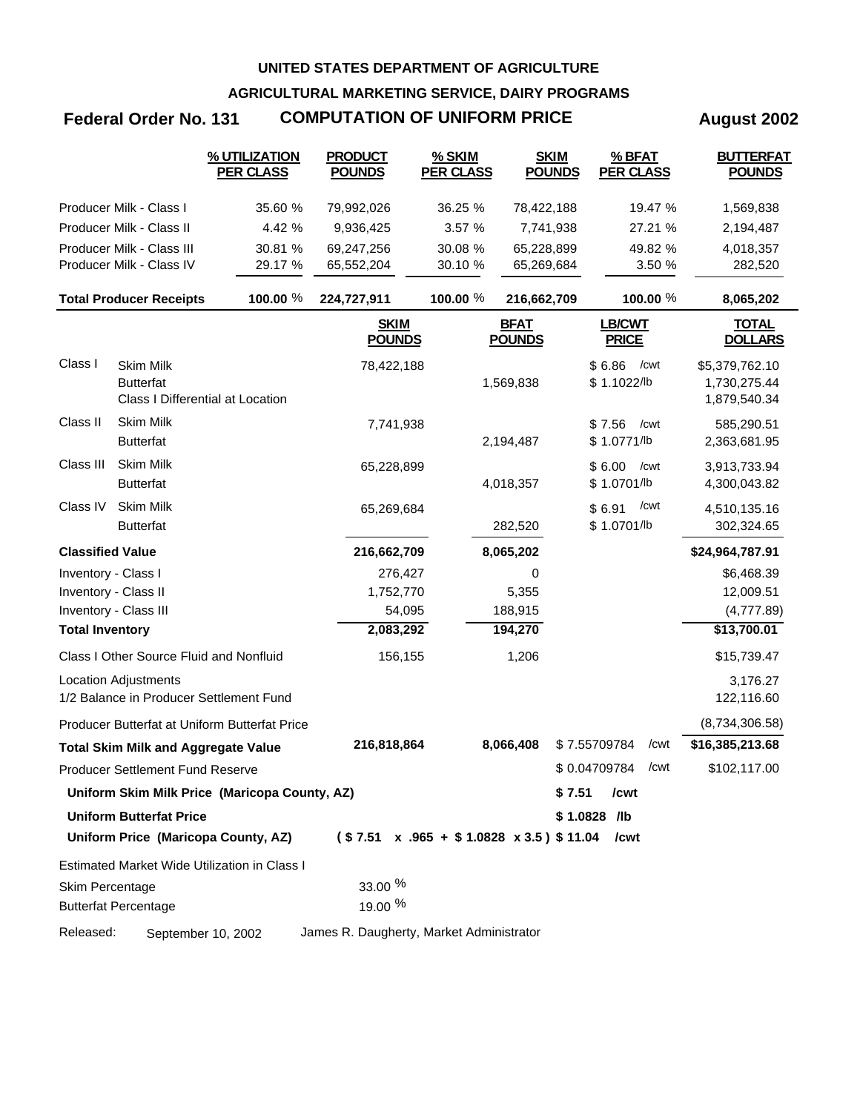**AGRICULTURAL MARKETING SERVICE, DAIRY PROGRAMS**

## **Federal Order No. 131 COMPUTATION OF UNIFORM PRICE August 2002**

|                         |                                                                          | % UTILIZATION<br><b>PER CLASS</b>             | <b>PRODUCT</b><br><b>POUNDS</b>                   | % SKIM<br><b>PER CLASS</b> | <b>SKIM</b><br><b>POUNDS</b> | % BFAT<br><b>PER CLASS</b>    | <b>BUTTERFAT</b><br><b>POUNDS</b>              |
|-------------------------|--------------------------------------------------------------------------|-----------------------------------------------|---------------------------------------------------|----------------------------|------------------------------|-------------------------------|------------------------------------------------|
|                         | Producer Milk - Class I                                                  | 35.60 %                                       | 79,992,026                                        | 36.25 %                    | 78,422,188                   | 19.47 %                       | 1,569,838                                      |
|                         | Producer Milk - Class II                                                 | 4.42 %                                        | 9,936,425                                         | 3.57 %                     | 7,741,938                    | 27.21 %                       | 2,194,487                                      |
|                         | Producer Milk - Class III                                                | 30.81 %                                       | 69,247,256                                        | 30.08 %                    | 65,228,899                   | 49.82 %                       | 4,018,357                                      |
|                         | Producer Milk - Class IV                                                 | 29.17 %                                       | 65,552,204                                        | 30.10 %                    | 65,269,684                   | 3.50 %                        | 282,520                                        |
|                         | <b>Total Producer Receipts</b>                                           | 100.00 %                                      | 224,727,911                                       | 100.00 %                   | 216,662,709                  | 100.00 %                      | 8,065,202                                      |
|                         |                                                                          |                                               | <b>SKIM</b><br><b>POUNDS</b>                      |                            | <b>BFAT</b><br><b>POUNDS</b> | <b>LB/CWT</b><br><b>PRICE</b> | <u>TOTAL</u><br><b>DOLLARS</b>                 |
| Class I                 | <b>Skim Milk</b><br><b>Butterfat</b><br>Class I Differential at Location |                                               | 78,422,188                                        |                            | 1,569,838                    | \$6.86<br>/cwt<br>\$1.1022/lb | \$5,379,762.10<br>1,730,275.44<br>1,879,540.34 |
| Class II                | <b>Skim Milk</b><br><b>Butterfat</b>                                     |                                               | 7,741,938                                         |                            | 2,194,487                    | \$7.56<br>/cwt<br>\$1.0771/lb | 585,290.51<br>2,363,681.95                     |
| Class III               | <b>Skim Milk</b><br><b>Butterfat</b>                                     |                                               | 65,228,899                                        |                            | 4,018,357                    | \$6.00<br>/cwt<br>\$1.0701/lb | 3,913,733.94<br>4,300,043.82                   |
| Class IV                | <b>Skim Milk</b><br><b>Butterfat</b>                                     |                                               | 65,269,684                                        |                            | 282,520                      | /cwt<br>\$6.91<br>\$1.0701/lb | 4,510,135.16<br>302,324.65                     |
| <b>Classified Value</b> |                                                                          |                                               | 216,662,709                                       |                            | 8,065,202                    |                               | \$24,964,787.91                                |
| Inventory - Class I     |                                                                          |                                               | 276,427                                           |                            | 0                            |                               | \$6,468.39                                     |
|                         | Inventory - Class II                                                     |                                               | 1,752,770                                         |                            | 5,355                        |                               | 12,009.51                                      |
|                         | Inventory - Class III                                                    |                                               | 54,095                                            |                            | 188,915                      |                               | (4,777.89)                                     |
| <b>Total Inventory</b>  |                                                                          |                                               | 2,083,292                                         |                            | 194,270                      |                               | \$13,700.01                                    |
|                         | Class I Other Source Fluid and Nonfluid                                  |                                               | 156,155                                           |                            | 1,206                        |                               | \$15,739.47                                    |
|                         | <b>Location Adjustments</b><br>1/2 Balance in Producer Settlement Fund   |                                               |                                                   |                            |                              |                               | 3,176.27<br>122,116.60                         |
|                         |                                                                          | Producer Butterfat at Uniform Butterfat Price |                                                   |                            |                              |                               | (8,734,306.58)                                 |
|                         | <b>Total Skim Milk and Aggregate Value</b>                               |                                               | 216,818,864                                       |                            | 8,066,408                    | \$7.55709784<br>/cwt          | \$16,385,213.68                                |
|                         | Producer Settlement Fund Reserve                                         |                                               |                                                   |                            |                              | \$0.04709784<br>/cwt          | \$102,117.00                                   |
|                         |                                                                          | Uniform Skim Milk Price (Maricopa County, AZ) |                                                   |                            | \$7.51                       | /cwt                          |                                                |
|                         | <b>Uniform Butterfat Price</b>                                           |                                               |                                                   |                            |                              | \$1.0828 /lb                  |                                                |
|                         | Uniform Price (Maricopa County, AZ)                                      |                                               | $($7.51 \times .965 + $1.0828 \times 3.5) $11.04$ |                            |                              | /cwt                          |                                                |
|                         |                                                                          | Estimated Market Wide Utilization in Class I  |                                                   |                            |                              |                               |                                                |
| Skim Percentage         | <b>Butterfat Percentage</b>                                              |                                               | 33.00 %<br>19.00 %                                |                            |                              |                               |                                                |
| Released:               |                                                                          | September 10, 2002                            | James R. Daugherty, Market Administrator          |                            |                              |                               |                                                |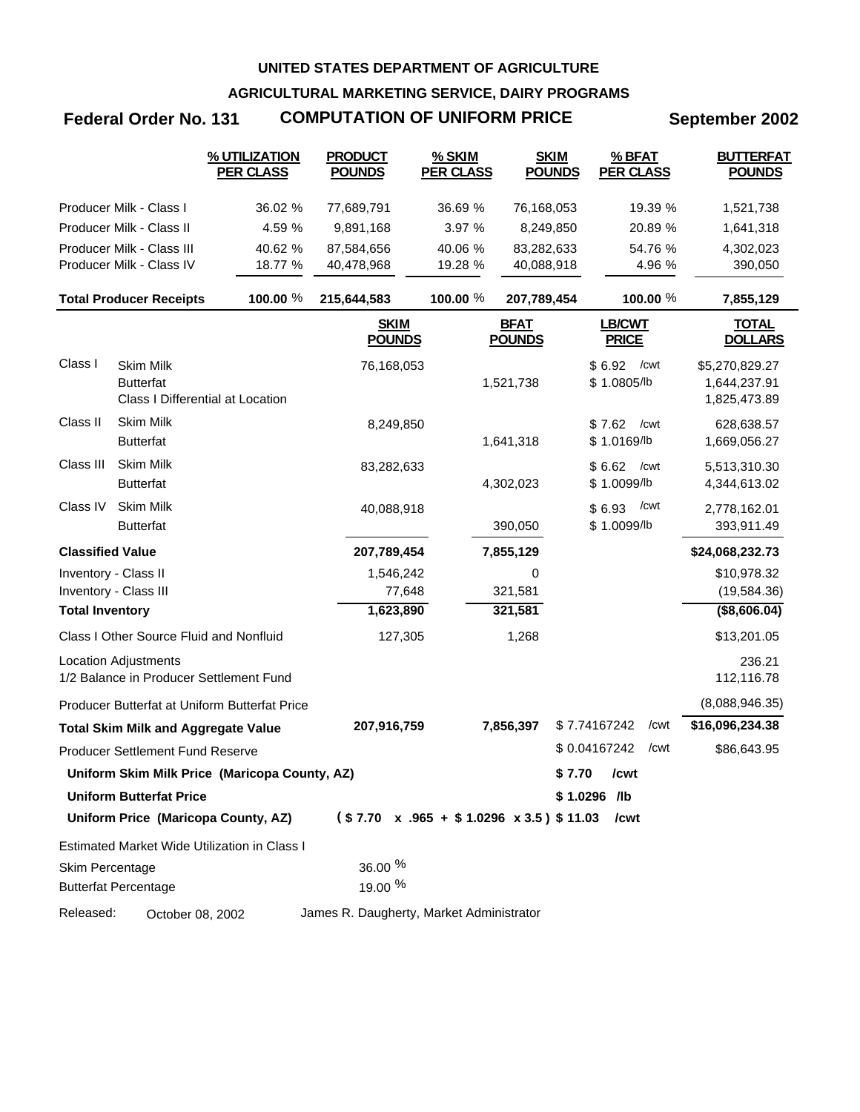**AGRICULTURAL MARKETING SERVICE, DAIRY PROGRAMS**

# **Federal Order No. 131 COMPUTATION OF UNIFORM PRICE September 2002**

|                         |                                                                          | % UTILIZATION<br><b>PER CLASS</b>             | <b>PRODUCT</b><br><b>POUNDS</b>                   | % SKIM<br><b>PER CLASS</b> | <b>SKIM</b><br><b>POUNDS</b> | % BFAT<br><b>PER CLASS</b>    | <b>BUTTERFAT</b><br><b>POUNDS</b>              |
|-------------------------|--------------------------------------------------------------------------|-----------------------------------------------|---------------------------------------------------|----------------------------|------------------------------|-------------------------------|------------------------------------------------|
|                         | Producer Milk - Class I                                                  | 36.02 %                                       | 77,689,791                                        | 36.69 %                    | 76,168,053                   | 19.39 %                       | 1,521,738                                      |
|                         | Producer Milk - Class II                                                 | 4.59 %                                        | 9,891,168                                         | 3.97 %                     | 8,249,850                    | 20.89 %                       | 1,641,318                                      |
|                         | Producer Milk - Class III                                                | 40.62 %                                       | 87,584,656                                        | 40.06 %                    | 83,282,633                   | 54.76 %                       | 4,302,023                                      |
|                         | Producer Milk - Class IV                                                 | 18.77 %                                       | 40,478,968                                        | 19.28 %                    | 40,088,918                   | 4.96 %                        | 390,050                                        |
|                         | <b>Total Producer Receipts</b>                                           | 100.00 %                                      | 215,644,583                                       | 100.00 %                   | 207,789,454                  | 100.00 %                      | 7,855,129                                      |
|                         |                                                                          |                                               | <b>SKIM</b><br><b>POUNDS</b>                      |                            | <b>BFAT</b><br><b>POUNDS</b> | LB/CWT<br><b>PRICE</b>        | <b>TOTAL</b><br><b>DOLLARS</b>                 |
| Class I                 | <b>Skim Milk</b><br><b>Butterfat</b><br>Class I Differential at Location |                                               | 76,168,053                                        |                            | 1,521,738                    | $$6.92$ / cwt<br>\$1.0805/lb  | \$5,270,829.27<br>1,644,237.91<br>1,825,473.89 |
| Class II                | Skim Milk<br><b>Butterfat</b>                                            |                                               | 8,249,850                                         |                            | 1,641,318                    | \$7.62<br>/cwt<br>\$1.0169/lb | 628,638.57<br>1,669,056.27                     |
| Class III               | <b>Skim Milk</b><br><b>Butterfat</b>                                     |                                               | 83,282,633                                        |                            | 4,302,023                    | \$6.62<br>/cwt<br>\$1.0099/lb | 5,513,310.30<br>4,344,613.02                   |
| Class IV                | <b>Skim Milk</b><br><b>Butterfat</b>                                     |                                               | 40,088,918                                        |                            | 390,050                      | /cwt<br>\$6.93<br>\$1.0099/lb | 2,778,162.01<br>393,911.49                     |
| <b>Classified Value</b> |                                                                          |                                               | 207,789,454                                       |                            | 7,855,129                    |                               | \$24,068,232.73                                |
| Inventory - Class II    |                                                                          |                                               | 1,546,242                                         |                            | 0                            |                               | \$10,978.32                                    |
|                         | Inventory - Class III                                                    |                                               | 77,648                                            |                            | 321,581                      |                               | (19, 584.36)                                   |
| <b>Total Inventory</b>  |                                                                          |                                               | 1,623,890                                         |                            | 321,581                      |                               | ( \$8,606.04)                                  |
|                         | Class I Other Source Fluid and Nonfluid                                  |                                               | 127,305                                           |                            | 1,268                        |                               | \$13,201.05                                    |
|                         | <b>Location Adjustments</b><br>1/2 Balance in Producer Settlement Fund   |                                               |                                                   |                            |                              |                               | 236.21<br>112,116.78                           |
|                         |                                                                          | Producer Butterfat at Uniform Butterfat Price |                                                   |                            |                              |                               | (8,088,946.35)                                 |
|                         | <b>Total Skim Milk and Aggregate Value</b>                               |                                               | 207,916,759                                       |                            | 7,856,397                    | \$7.74167242<br>/cwt          | \$16,096,234.38                                |
|                         | <b>Producer Settlement Fund Reserve</b>                                  |                                               |                                                   |                            |                              | \$0.04167242<br>/cwt          | \$86,643.95                                    |
|                         |                                                                          | Uniform Skim Milk Price (Maricopa County, AZ) |                                                   |                            |                              | \$7.70 / cwt                  |                                                |
|                         | <b>Uniform Butterfat Price</b>                                           |                                               |                                                   |                            |                              | \$1.0296 /lb                  |                                                |
|                         | Uniform Price (Maricopa County, AZ)                                      |                                               | $($7.70 \times .965 + $1.0296 \times 3.5) $11.03$ |                            |                              | /cwt                          |                                                |
|                         |                                                                          | Estimated Market Wide Utilization in Class I  |                                                   |                            |                              |                               |                                                |
| Skim Percentage         | <b>Butterfat Percentage</b>                                              |                                               | $36.00\%$<br>19.00 %                              |                            |                              |                               |                                                |
| Released:               | October 08, 2002                                                         |                                               | James R. Daugherty, Market Administrator          |                            |                              |                               |                                                |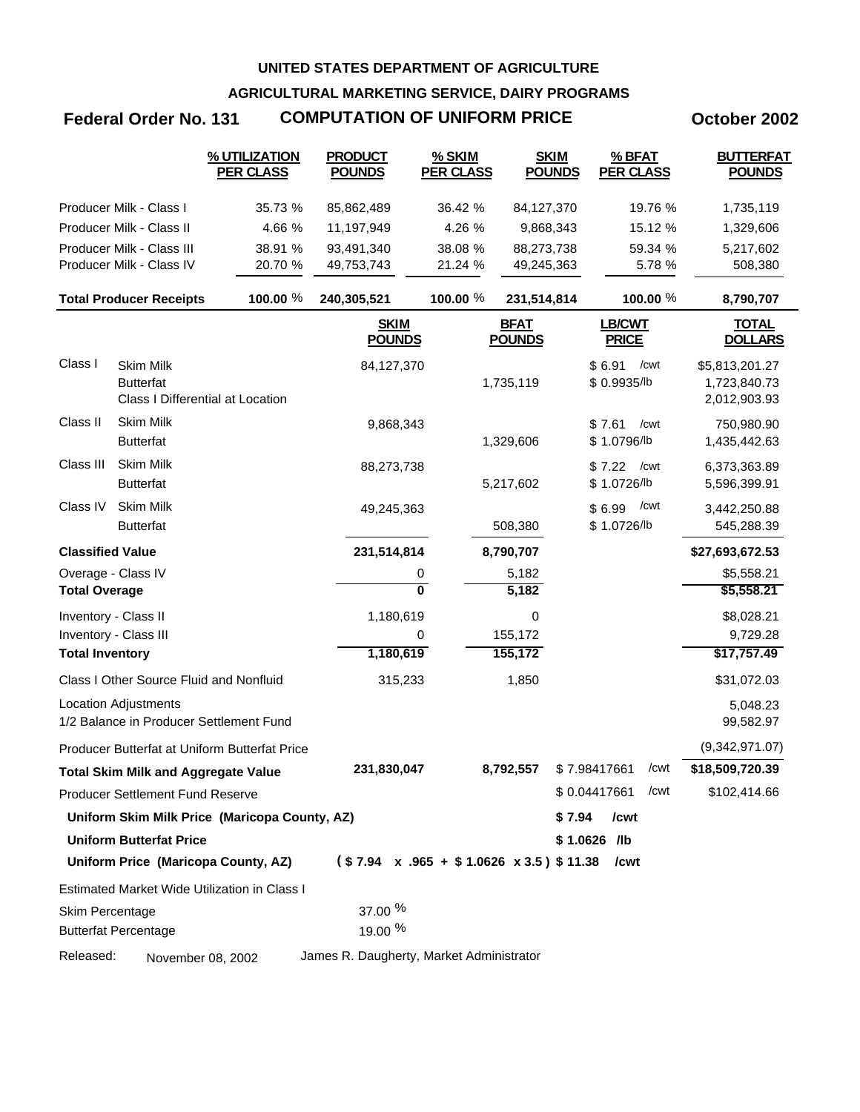**AGRICULTURAL MARKETING SERVICE, DAIRY PROGRAMS**

# **Federal Order No. 131 COMPUTATION OF UNIFORM PRICE October 2002**

|                         |                                                                          | % UTILIZATION<br><b>PER CLASS</b>                    | <b>PRODUCT</b><br><b>POUNDS</b>                        | % SKIM<br><b>PER CLASS</b> | <b>SKIM</b><br><b>POUNDS</b> | % BFAT<br><b>PER CLASS</b>    | <b>BUTTERFAT</b><br><b>POUNDS</b>              |
|-------------------------|--------------------------------------------------------------------------|------------------------------------------------------|--------------------------------------------------------|----------------------------|------------------------------|-------------------------------|------------------------------------------------|
|                         | Producer Milk - Class I                                                  | 35.73 %                                              | 85,862,489                                             | 36.42 %                    | 84,127,370                   | 19.76 %                       | 1,735,119                                      |
|                         | Producer Milk - Class II                                                 | 4.66 %                                               | 11,197,949                                             | 4.26 %                     | 9,868,343                    | 15.12 %                       | 1,329,606                                      |
|                         | Producer Milk - Class III                                                | 38.91 %                                              | 93,491,340                                             | 38.08 %                    | 88,273,738                   | 59.34 %                       | 5,217,602                                      |
|                         | Producer Milk - Class IV                                                 | 20.70 %                                              | 49,753,743                                             | 21.24 %                    | 49,245,363                   | 5.78 %                        | 508,380                                        |
|                         | <b>Total Producer Receipts</b>                                           | 100.00 %                                             | 240,305,521                                            | 100.00 %                   | 231,514,814                  | 100.00 %                      | 8,790,707                                      |
|                         |                                                                          |                                                      | <b>SKIM</b><br><b>POUNDS</b>                           |                            | <b>BFAT</b><br><b>POUNDS</b> | <b>LB/CWT</b><br><b>PRICE</b> | <u>TOTAL</u><br><b>DOLLARS</b>                 |
| Class I                 | <b>Skim Milk</b><br><b>Butterfat</b><br>Class I Differential at Location |                                                      | 84,127,370                                             |                            | 1,735,119                    | \$6.91<br>/cwt<br>\$0.9935/lb | \$5,813,201.27<br>1,723,840.73<br>2,012,903.93 |
| Class II                | Skim Milk<br><b>Butterfat</b>                                            |                                                      | 9,868,343                                              |                            | 1,329,606                    | \$7.61<br>/cwt<br>\$1.0796/lb | 750,980.90<br>1,435,442.63                     |
| Class III               | Skim Milk<br><b>Butterfat</b>                                            |                                                      | 88,273,738                                             |                            | 5,217,602                    | \$7.22<br>/cwt<br>\$1.0726/lb | 6,373,363.89<br>5,596,399.91                   |
| Class IV                | Skim Milk<br><b>Butterfat</b>                                            |                                                      | 49,245,363                                             |                            | 508,380                      | /cwt<br>\$6.99<br>\$1.0726/lb | 3,442,250.88<br>545,288.39                     |
| <b>Classified Value</b> |                                                                          |                                                      | 231,514,814                                            |                            | 8,790,707                    |                               | \$27,693,672.53                                |
| Overage - Class IV      |                                                                          |                                                      | 0                                                      |                            | 5,182                        |                               | \$5,558.21                                     |
| <b>Total Overage</b>    |                                                                          |                                                      | $\overline{\mathbf{0}}$                                |                            | 5,182                        |                               | \$5,558.21                                     |
| Inventory - Class II    |                                                                          |                                                      | 1,180,619                                              |                            | 0                            |                               | \$8,028.21                                     |
|                         | Inventory - Class III                                                    |                                                      | 0                                                      |                            | 155,172                      |                               | 9,729.28                                       |
| <b>Total Inventory</b>  |                                                                          |                                                      | 1,180,619                                              |                            | 155,172                      |                               | \$17,757.49                                    |
|                         | Class I Other Source Fluid and Nonfluid                                  |                                                      | 315,233                                                |                            | 1,850                        |                               | \$31,072.03                                    |
|                         | <b>Location Adjustments</b><br>1/2 Balance in Producer Settlement Fund   |                                                      |                                                        |                            |                              |                               | 5,048.23<br>99,582.97                          |
|                         |                                                                          | <b>Producer Butterfat at Uniform Butterfat Price</b> |                                                        |                            |                              |                               | (9,342,971.07)                                 |
|                         | <b>Total Skim Milk and Aggregate Value</b>                               |                                                      | 231,830,047                                            |                            | 8,792,557                    | \$7.98417661<br>/cwt          | \$18,509,720.39                                |
|                         | <b>Producer Settlement Fund Reserve</b>                                  |                                                      |                                                        |                            |                              | \$0.04417661<br>/cwt          | \$102,414.66                                   |
|                         |                                                                          | Uniform Skim Milk Price (Maricopa County, AZ)        |                                                        |                            |                              | \$7.94<br>/cwt                |                                                |
|                         | <b>Uniform Butterfat Price</b>                                           |                                                      |                                                        |                            |                              | $$1.0626$ /lb                 |                                                |
|                         |                                                                          | Uniform Price (Maricopa County, AZ)                  | $($7.94 \times .965 + $1.0626 \times 3.5) $11.38$ /cwt |                            |                              |                               |                                                |
|                         |                                                                          | Estimated Market Wide Utilization in Class I         |                                                        |                            |                              |                               |                                                |
| Skim Percentage         | <b>Butterfat Percentage</b>                                              |                                                      | 37.00 %<br>19.00 %                                     |                            |                              |                               |                                                |
| Released:               | November 08, 2002                                                        |                                                      | James R. Daugherty, Market Administrator               |                            |                              |                               |                                                |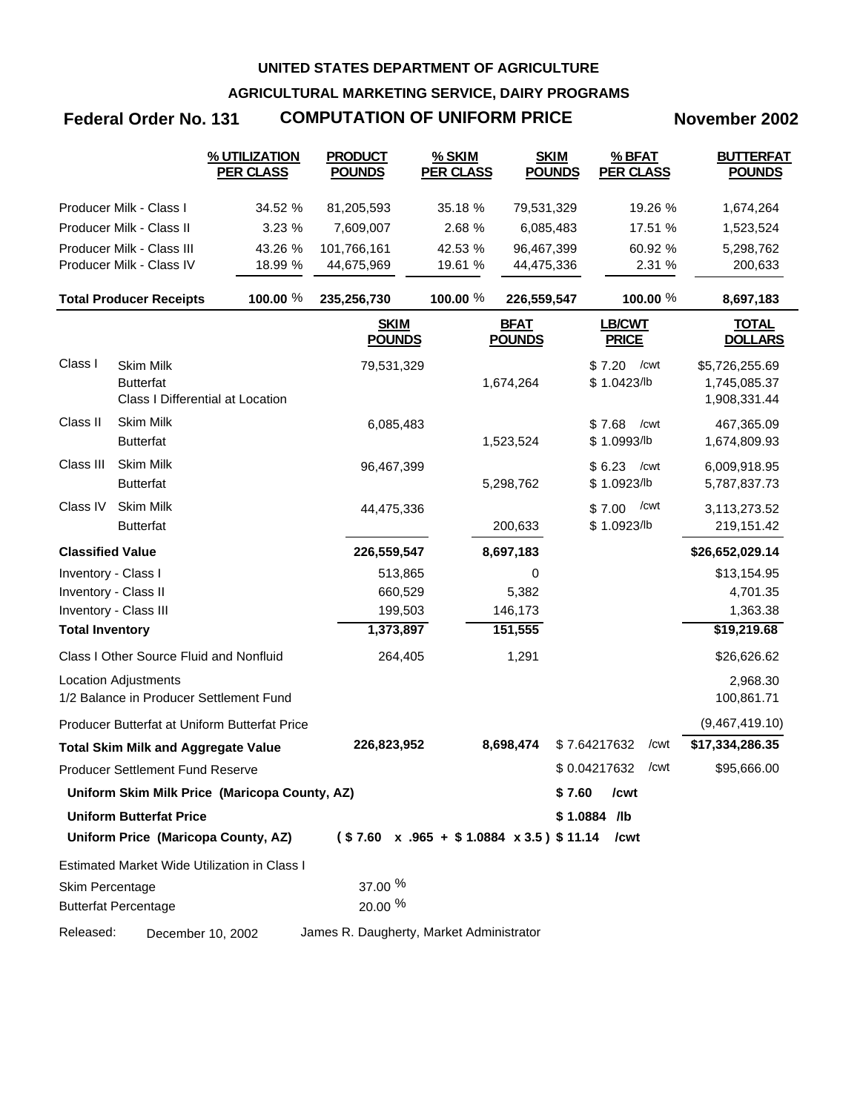**AGRICULTURAL MARKETING SERVICE, DAIRY PROGRAMS**

## **Federal Order No. 131 COMPUTATION OF UNIFORM PRICE November 2002**

|                         |                                                                          | % UTILIZATION<br><b>PER CLASS</b>             | <b>PRODUCT</b><br><b>POUNDS</b>                   | % SKIM<br><b>PER CLASS</b> | <b>SKIM</b><br><b>POUNDS</b> | % BFAT<br><b>PER CLASS</b>    | <b>BUTTERFAT</b><br><b>POUNDS</b>              |
|-------------------------|--------------------------------------------------------------------------|-----------------------------------------------|---------------------------------------------------|----------------------------|------------------------------|-------------------------------|------------------------------------------------|
|                         | Producer Milk - Class I                                                  | 34.52 %                                       | 81,205,593                                        | 35.18 %                    | 79,531,329                   | 19.26 %                       | 1,674,264                                      |
|                         | Producer Milk - Class II                                                 | 3.23 %                                        | 7,609,007                                         | 2.68 %                     | 6,085,483                    | 17.51 %                       | 1,523,524                                      |
|                         | Producer Milk - Class III                                                | 43.26 %                                       | 101,766,161                                       | 42.53 %                    | 96,467,399                   | 60.92 %                       | 5,298,762                                      |
|                         | Producer Milk - Class IV                                                 | 18.99 %                                       | 44,675,969                                        | 19.61 %                    | 44,475,336                   | 2.31 %                        | 200,633                                        |
|                         | <b>Total Producer Receipts</b>                                           | 100.00 %                                      | 235,256,730                                       | 100.00 %                   | 226,559,547                  | 100.00 %                      | 8,697,183                                      |
|                         |                                                                          |                                               | <b>SKIM</b><br><b>POUNDS</b>                      |                            | <b>BFAT</b><br><b>POUNDS</b> | <b>LB/CWT</b><br><b>PRICE</b> | <b>TOTAL</b><br><b>DOLLARS</b>                 |
| Class I                 | <b>Skim Milk</b><br><b>Butterfat</b><br>Class I Differential at Location |                                               | 79,531,329                                        |                            | 1,674,264                    | \$7.20<br>/cwt<br>\$1.0423/lb | \$5,726,255.69<br>1,745,085.37<br>1,908,331.44 |
| Class II                | <b>Skim Milk</b><br><b>Butterfat</b>                                     |                                               | 6,085,483                                         |                            | 1,523,524                    | \$7.68<br>/cwt<br>\$1.0993/lb | 467,365.09<br>1,674,809.93                     |
| Class III               | <b>Skim Milk</b><br><b>Butterfat</b>                                     |                                               | 96,467,399                                        |                            | 5,298,762                    | \$6.23<br>/cwt<br>\$1.0923/lb | 6,009,918.95<br>5,787,837.73                   |
| Class IV                | <b>Skim Milk</b><br><b>Butterfat</b>                                     |                                               | 44,475,336                                        |                            | 200,633                      | /cwt<br>\$7.00<br>\$1.0923/lb | 3,113,273.52<br>219,151.42                     |
| <b>Classified Value</b> |                                                                          |                                               | 226,559,547                                       |                            | 8,697,183                    |                               | \$26,652,029.14                                |
| Inventory - Class I     |                                                                          |                                               | 513,865                                           |                            | 0                            |                               | \$13,154.95                                    |
| Inventory - Class II    |                                                                          |                                               | 660,529                                           |                            | 5,382                        |                               | 4,701.35                                       |
|                         | Inventory - Class III                                                    |                                               | 199,503                                           |                            | 146,173                      |                               | 1,363.38                                       |
| <b>Total Inventory</b>  |                                                                          |                                               | 1,373,897                                         |                            | 151,555                      |                               | \$19,219.68                                    |
|                         | Class I Other Source Fluid and Nonfluid                                  |                                               | 264,405                                           |                            | 1,291                        |                               | \$26,626.62                                    |
|                         | <b>Location Adjustments</b><br>1/2 Balance in Producer Settlement Fund   |                                               |                                                   |                            |                              |                               | 2,968.30<br>100,861.71                         |
|                         |                                                                          | Producer Butterfat at Uniform Butterfat Price |                                                   |                            |                              |                               | (9,467,419.10)                                 |
|                         | <b>Total Skim Milk and Aggregate Value</b>                               |                                               | 226,823,952                                       |                            | 8,698,474                    | \$7.64217632<br>/cwt          | \$17,334,286.35                                |
|                         | Producer Settlement Fund Reserve                                         |                                               |                                                   |                            |                              | \$0.04217632<br>/cwt          | \$95,666.00                                    |
|                         |                                                                          | Uniform Skim Milk Price (Maricopa County, AZ) |                                                   |                            | \$7.60                       | /cwt                          |                                                |
|                         | <b>Uniform Butterfat Price</b>                                           |                                               |                                                   |                            |                              | \$1.0884 /lb                  |                                                |
|                         |                                                                          | Uniform Price (Maricopa County, AZ)           | $($7.60 \times .965 + $1.0884 \times 3.5) $11.14$ |                            |                              | /cwt                          |                                                |
|                         |                                                                          | Estimated Market Wide Utilization in Class I  |                                                   |                            |                              |                               |                                                |
| Skim Percentage         | <b>Butterfat Percentage</b>                                              |                                               | 37.00 %<br>20.00 %                                |                            |                              |                               |                                                |
| Released:               | December 10, 2002                                                        |                                               | James R. Daugherty, Market Administrator          |                            |                              |                               |                                                |